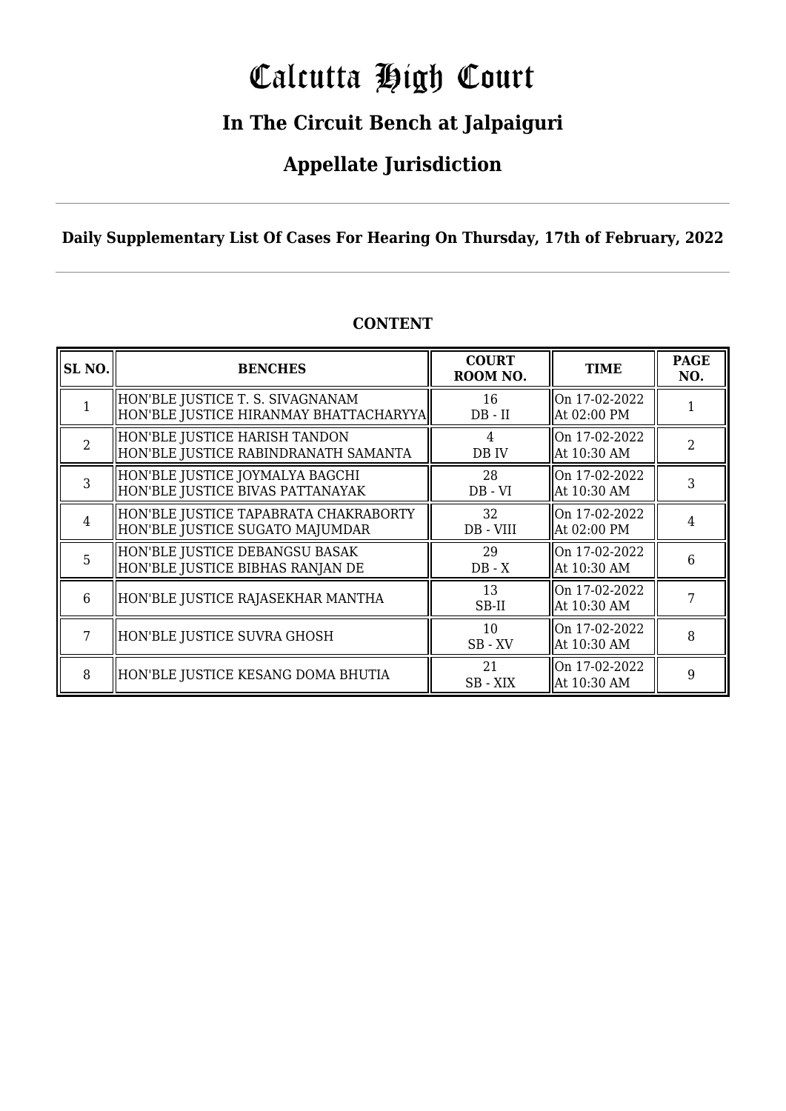# Calcutta High Court

### **In The Circuit Bench at Jalpaiguri**

### **Appellate Jurisdiction**

#### **Daily Supplementary List Of Cases For Hearing On Thursday, 17th of February, 2022**

| SL <sub>NO</sub> | <b>BENCHES</b>                                                             | <b>COURT</b><br>ROOM NO. | <b>TIME</b>                  | <b>PAGE</b><br>NO. |
|------------------|----------------------------------------------------------------------------|--------------------------|------------------------------|--------------------|
|                  | HON'BLE JUSTICE T. S. SIVAGNANAM<br>HON'BLE JUSTICE HIRANMAY BHATTACHARYYA | 16<br>$DB - II$          | On 17-02-2022<br>At 02:00 PM |                    |
| $\overline{2}$   | HON'BLE JUSTICE HARISH TANDON<br>HON'BLE JUSTICE RABINDRANATH SAMANTA      | 4<br>DB IV               | On 17-02-2022<br>At 10:30 AM | 2                  |
| 3                | HON'BLE JUSTICE JOYMALYA BAGCHI<br>HON'BLE JUSTICE BIVAS PATTANAYAK        | 28<br>$DB - VI$          | On 17-02-2022<br>At 10:30 AM | 3                  |
| $\overline{4}$   | HON'BLE JUSTICE TAPABRATA CHAKRABORTY<br>HON'BLE JUSTICE SUGATO MAJUMDAR   | 32<br>DB - VIII          | On 17-02-2022<br>At 02:00 PM | 4                  |
| 5                | HON'BLE JUSTICE DEBANGSU BASAK<br>HON'BLE JUSTICE BIBHAS RANJAN DE         | 29<br>$DB - X$           | On 17-02-2022<br>At 10:30 AM | 6                  |
| 6                | HON'BLE JUSTICE RAJASEKHAR MANTHA                                          | 13<br>SB-II              | On 17-02-2022<br>At 10:30 AM |                    |
| 7                | HON'BLE JUSTICE SUVRA GHOSH                                                | 10<br>SB-XV              | On 17-02-2022<br>At 10:30 AM | 8                  |
| 8                | HON'BLE JUSTICE KESANG DOMA BHUTIA                                         | 21<br>SB - XIX           | On 17-02-2022<br>At 10:30 AM | 9                  |

#### **CONTENT**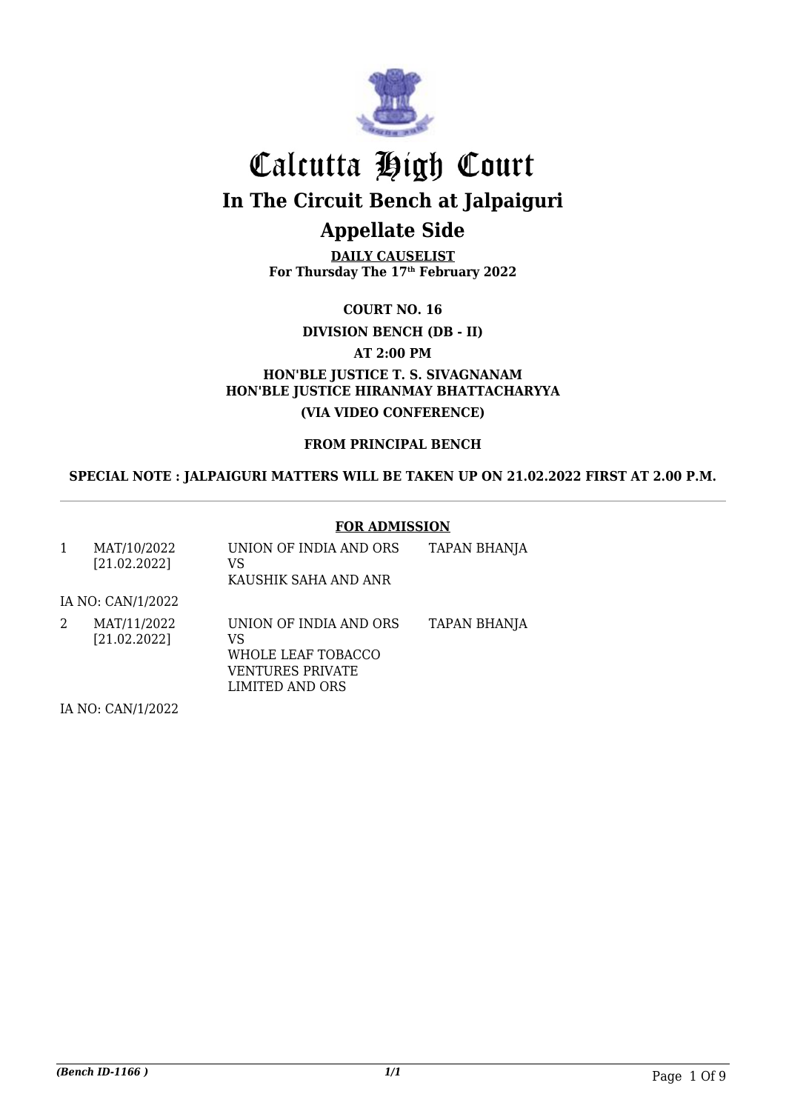

**DAILY CAUSELIST For Thursday The 17th February 2022**

**COURT NO. 16**

**DIVISION BENCH (DB - II)**

**AT 2:00 PM**

**HON'BLE JUSTICE T. S. SIVAGNANAM HON'BLE JUSTICE HIRANMAY BHATTACHARYYA (VIA VIDEO CONFERENCE)**

**FROM PRINCIPAL BENCH**

**SPECIAL NOTE : JALPAIGURI MATTERS WILL BE TAKEN UP ON 21.02.2022 FIRST AT 2.00 P.M.**

#### **FOR ADMISSION**

| 1 | MAT/10/2022<br>[21.02.2022]              | UNION OF INDIA AND ORS<br>VS<br>KAUSHIK SAHA AND ANR                                             | <b>TAPAN BHANJA</b> |
|---|------------------------------------------|--------------------------------------------------------------------------------------------------|---------------------|
|   | IA NO: CAN/1/2022                        |                                                                                                  |                     |
| 2 | MAT/11/2022<br>[21.02.2022]              | UNION OF INDIA AND ORS<br>VS<br>WHOLE LEAF TOBACCO<br><b>VENTURES PRIVATE</b><br>LIMITED AND ORS | TAPAN BHANJA        |
|   | $T_A N_A \cap T_A N_I$ $(1, 0, 0, 0, 0)$ |                                                                                                  |                     |

IA NO: CAN/1/2022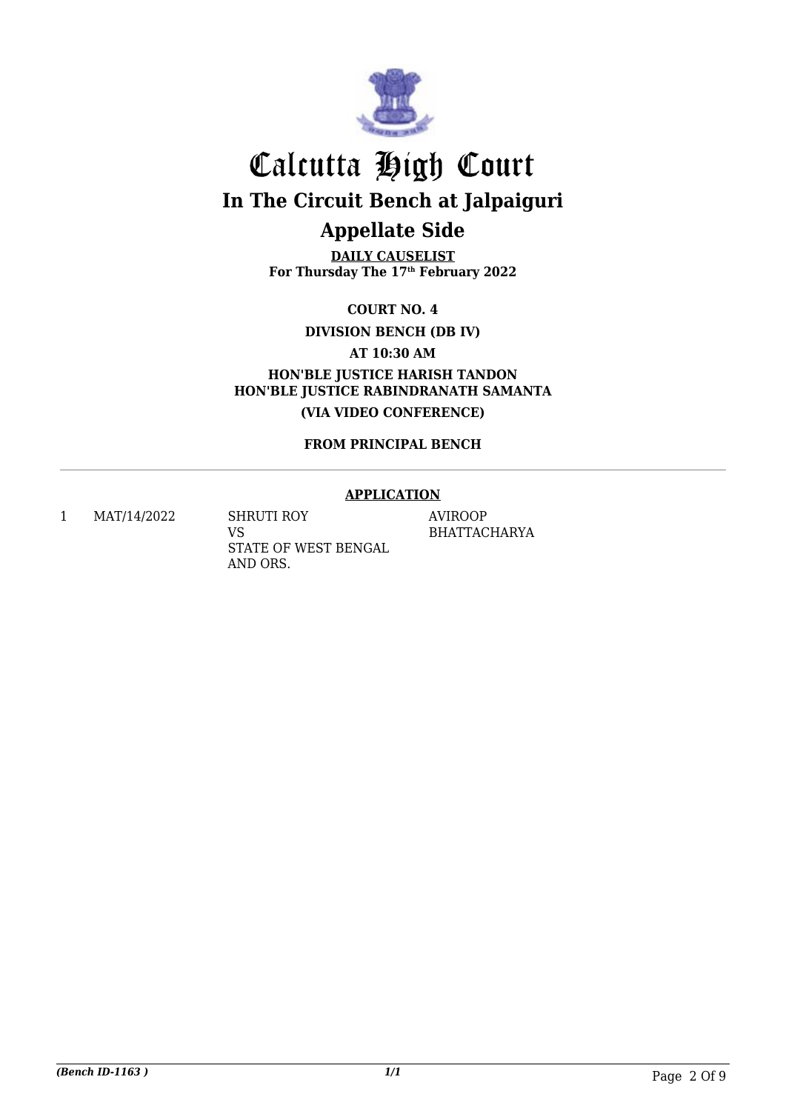

**DAILY CAUSELIST For Thursday The 17th February 2022**

**COURT NO. 4**

**DIVISION BENCH (DB IV)**

**AT 10:30 AM**

**HON'BLE JUSTICE HARISH TANDON HON'BLE JUSTICE RABINDRANATH SAMANTA (VIA VIDEO CONFERENCE)**

**FROM PRINCIPAL BENCH**

#### **APPLICATION**

1 MAT/14/2022 SHRUTI ROY VS STATE OF WEST BENGAL AND ORS.

AVIROOP BHATTACHARYA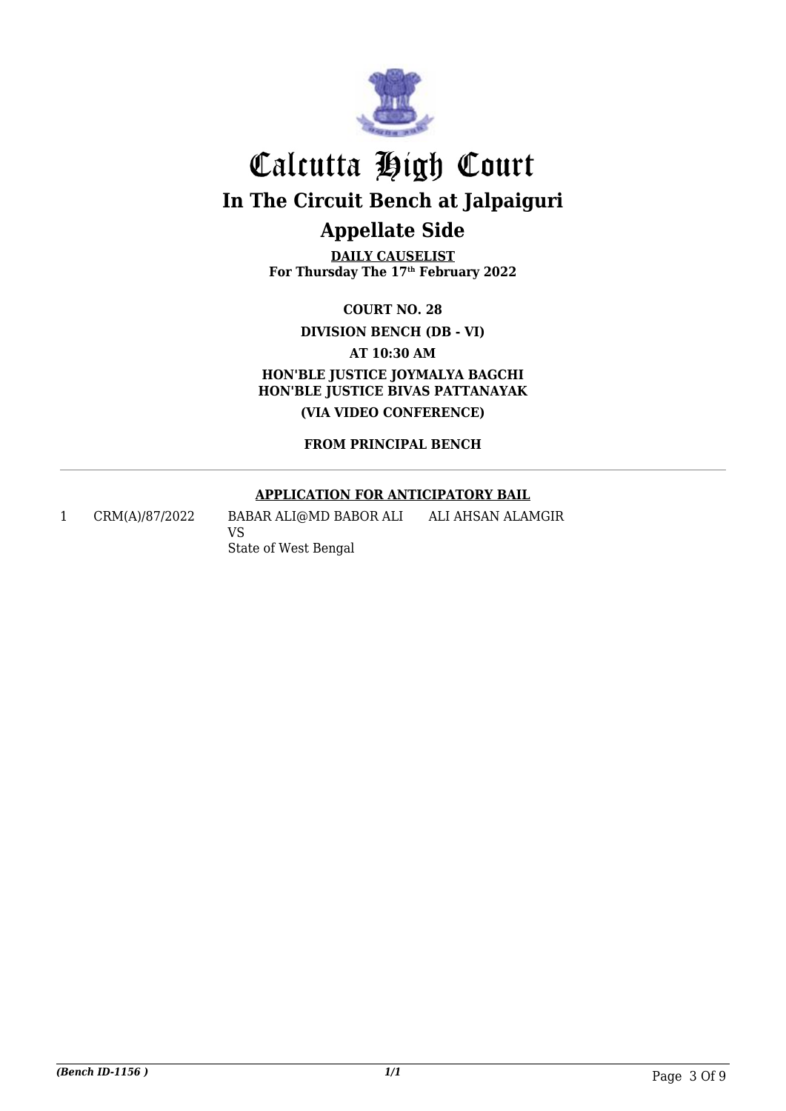

**DAILY CAUSELIST For Thursday The 17th February 2022**

**COURT NO. 28**

**DIVISION BENCH (DB - VI)**

**AT 10:30 AM**

**HON'BLE JUSTICE JOYMALYA BAGCHI HON'BLE JUSTICE BIVAS PATTANAYAK (VIA VIDEO CONFERENCE)**

**FROM PRINCIPAL BENCH**

#### **APPLICATION FOR ANTICIPATORY BAIL**

1 CRM(A)/87/2022 BABAR ALI@MD BABOR ALI VS State of West Bengal ALI AHSAN ALAMGIR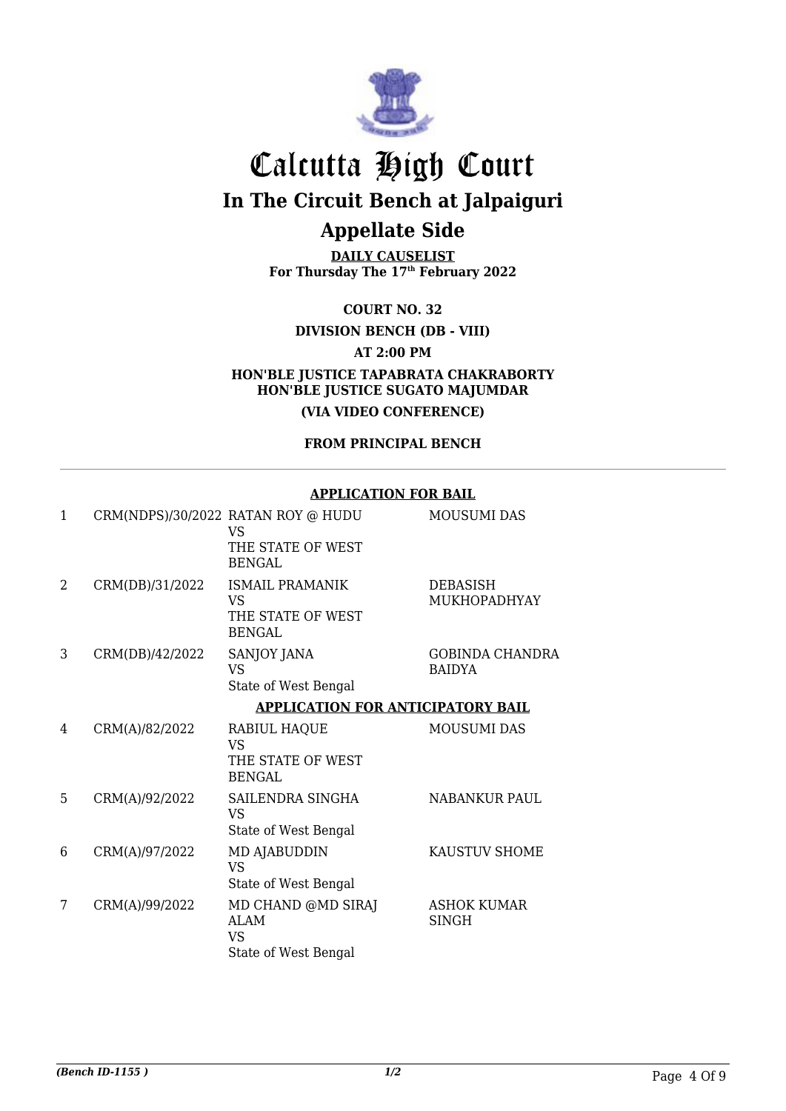

**DAILY CAUSELIST For Thursday The 17th February 2022**

**COURT NO. 32**

#### **DIVISION BENCH (DB - VIII)**

**AT 2:00 PM**

**HON'BLE JUSTICE TAPABRATA CHAKRABORTY HON'BLE JUSTICE SUGATO MAJUMDAR (VIA VIDEO CONFERENCE)**

#### **FROM PRINCIPAL BENCH**

#### **APPLICATION FOR BAIL**

| 1 |                 | CRM(NDPS)/30/2022 RATAN ROY @ HUDU<br>VS.<br>THE STATE OF WEST<br><b>BENGAL</b> | <b>MOUSUMI DAS</b>                      |
|---|-----------------|---------------------------------------------------------------------------------|-----------------------------------------|
| 2 | CRM(DB)/31/2022 | <b>ISMAIL PRAMANIK</b><br><b>VS</b><br>THE STATE OF WEST<br><b>BENGAL</b>       | <b>DEBASISH</b><br><b>MUKHOPADHYAY</b>  |
| 3 | CRM(DB)/42/2022 | SANJOY JANA<br>VS<br>State of West Bengal                                       | <b>GOBINDA CHANDRA</b><br><b>BAIDYA</b> |
|   |                 | <b>APPLICATION FOR ANTICIPATORY BAIL</b>                                        |                                         |
| 4 | CRM(A)/82/2022  | RABIUL HAQUE<br><b>VS</b><br>THE STATE OF WEST<br>BENGAL                        | <b>MOUSUMI DAS</b>                      |
| 5 | CRM(A)/92/2022  | SAILENDRA SINGHA<br><b>VS</b><br>State of West Bengal                           | <b>NABANKUR PAUL</b>                    |
| 6 | CRM(A)/97/2022  | MD AJABUDDIN<br><b>VS</b><br>State of West Bengal                               | KAUSTUV SHOME                           |
| 7 | CRM(A)/99/2022  | MD CHAND @MD SIRAJ<br><b>ALAM</b><br>VS.<br>State of West Bengal                | <b>ASHOK KUMAR</b><br>SINGH             |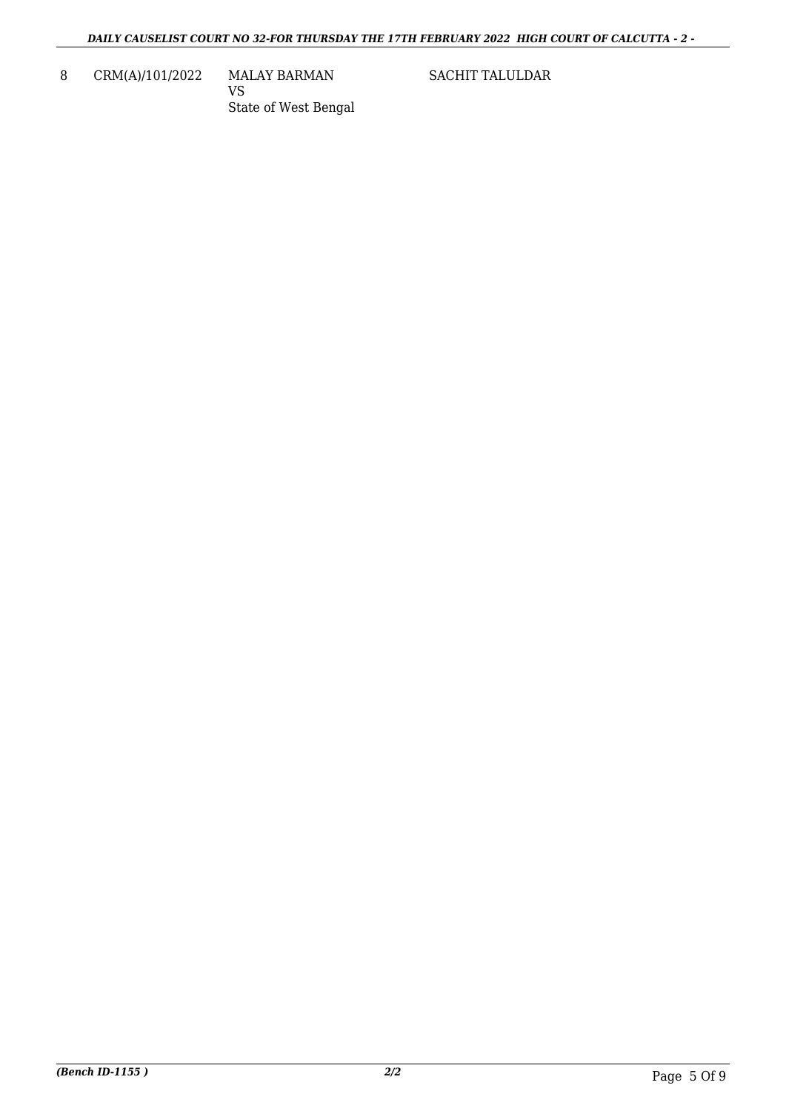8 CRM(A)/101/2022 MALAY BARMAN

VS State of West Bengal SACHIT TALULDAR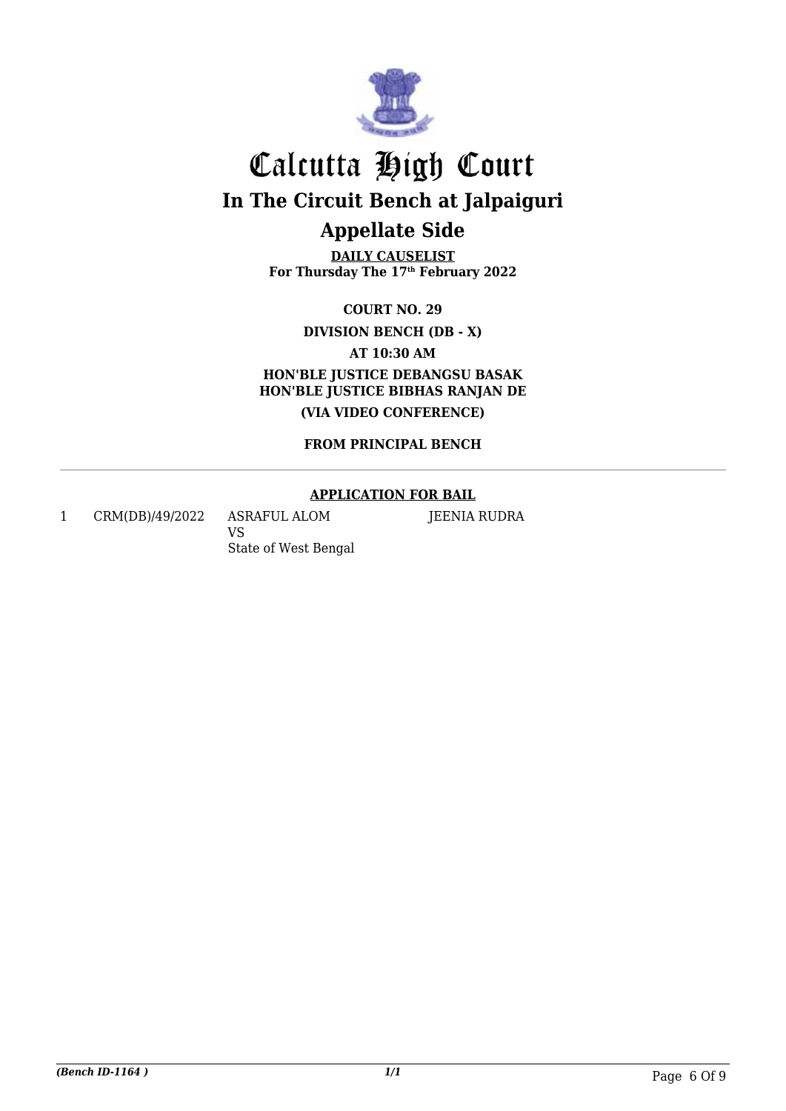

**DAILY CAUSELIST For Thursday The 17th February 2022**

**COURT NO. 29**

**DIVISION BENCH (DB - X)**

**AT 10:30 AM**

**HON'BLE JUSTICE DEBANGSU BASAK HON'BLE JUSTICE BIBHAS RANJAN DE (VIA VIDEO CONFERENCE)**

**FROM PRINCIPAL BENCH**

#### **APPLICATION FOR BAIL**

JEENIA RUDRA

1 CRM(DB)/49/2022 ASRAFUL ALOM

VS State of West Bengal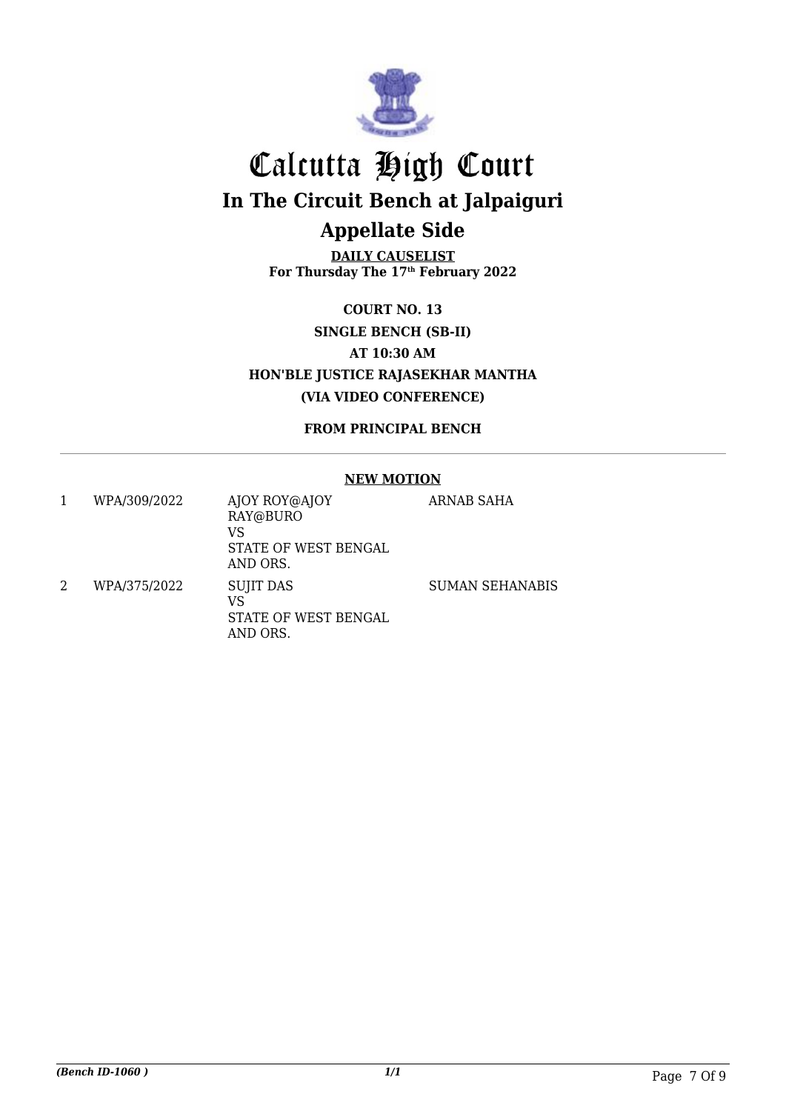

**DAILY CAUSELIST For Thursday The 17th February 2022**

**COURT NO. 13 SINGLE BENCH (SB-II) AT 10:30 AM HON'BLE JUSTICE RAJASEKHAR MANTHA (VIA VIDEO CONFERENCE)**

**FROM PRINCIPAL BENCH**

#### **NEW MOTION**

| WPA/309/2022 | AJOY ROY@AJOY<br>RAY@BURO<br>VS<br>STATE OF WEST BENGAL<br>AND ORS. | ARNAB SAHA             |
|--------------|---------------------------------------------------------------------|------------------------|
| WPA/375/2022 | <b>SUJIT DAS</b><br>VS<br>STATE OF WEST BENGAL<br>AND ORS.          | <b>SUMAN SEHANABIS</b> |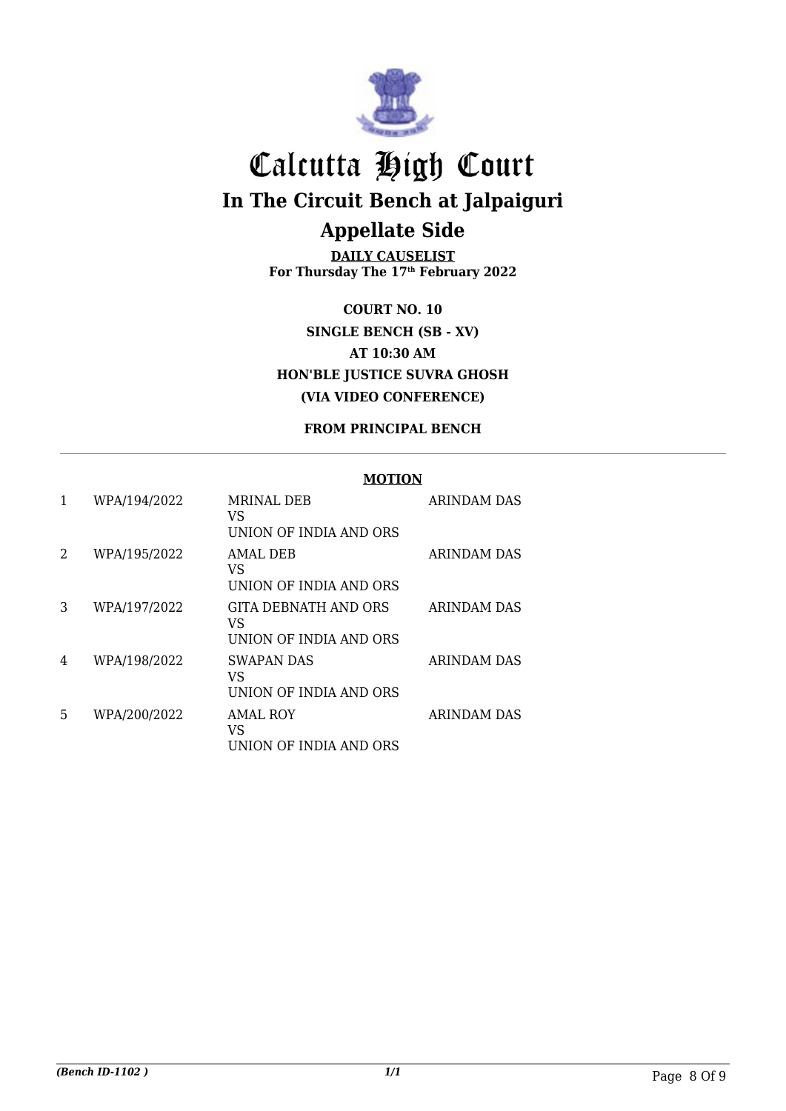

**DAILY CAUSELIST For Thursday The 17th February 2022**

**COURT NO. 10 SINGLE BENCH (SB - XV) AT 10:30 AM HON'BLE JUSTICE SUVRA GHOSH (VIA VIDEO CONFERENCE)**

#### **FROM PRINCIPAL BENCH**

#### **MOTION**

|   | WPA/194/2022 | <b>MRINAL DEB</b><br>VS<br>UNION OF INDIA AND ORS    | <b>ARINDAM DAS</b> |
|---|--------------|------------------------------------------------------|--------------------|
| 2 | WPA/195/2022 | AMAL DEB<br>VS<br>UNION OF INDIA AND ORS             | ARINDAM DAS        |
| 3 | WPA/197/2022 | GITA DEBNATH AND ORS<br>VS<br>UNION OF INDIA AND ORS | <b>ARINDAM DAS</b> |
| 4 | WPA/198/2022 | <b>SWAPAN DAS</b><br>VS<br>UNION OF INDIA AND ORS    | ARINDAM DAS        |
| 5 | WPA/200/2022 | <b>AMAL ROY</b><br>VS<br>UNION OF INDIA AND ORS      | <b>ARINDAM DAS</b> |